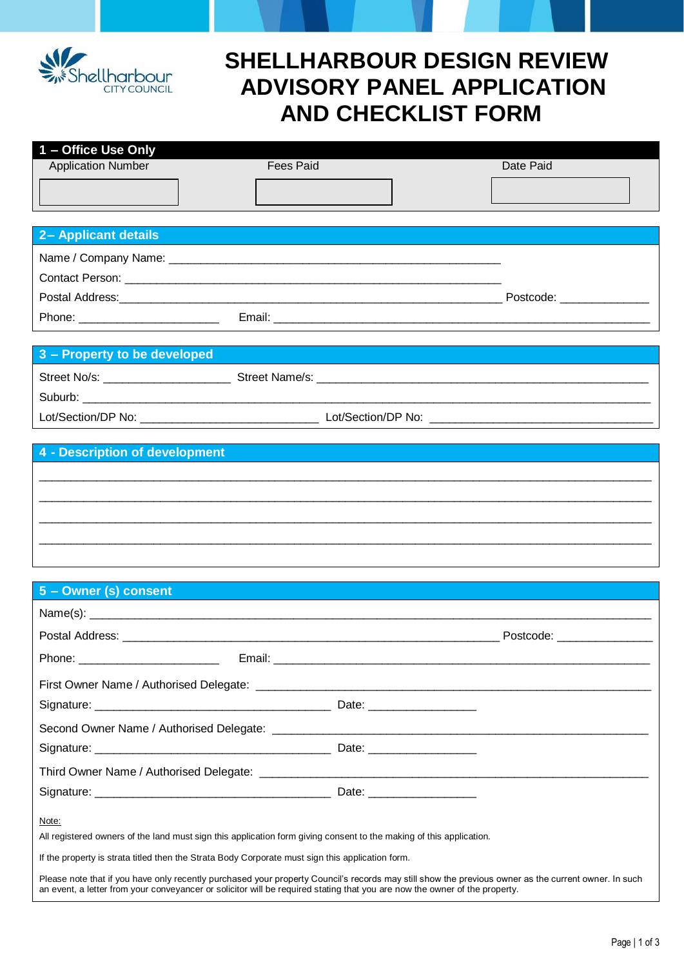

# **SHELLHARBOUR DESIGN REVIEW ADVISORY PANEL APPLICATION AND CHECKLIST FORM**

| 1 – Office Use Only       |                  |           |
|---------------------------|------------------|-----------|
| <b>Application Number</b> | <b>Fees Paid</b> | Date Paid |
|                           |                  |           |
|                           |                  |           |
|                           |                  |           |

| 2- Applicant details |        |                         |
|----------------------|--------|-------------------------|
|                      |        |                         |
|                      |        |                         |
|                      |        | Postcode: _____________ |
| Phone:               | Email: |                         |

# **3 – Property to be developed**

| Street No/s:       | Street Name/s:     |
|--------------------|--------------------|
| Suburb:            |                    |
| Lot/Section/DP No: | Lot/Section/DP No: |

 $\_$  ,  $\_$  ,  $\_$  ,  $\_$  ,  $\_$  ,  $\_$  ,  $\_$  ,  $\_$  ,  $\_$  ,  $\_$  ,  $\_$  ,  $\_$  ,  $\_$  ,  $\_$  ,  $\_$  ,  $\_$  ,  $\_$  ,  $\_$  ,  $\_$  ,  $\_$  ,  $\_$  ,  $\_$  ,  $\_$  ,  $\_$  ,  $\_$  ,  $\_$  ,  $\_$  ,  $\_$  ,  $\_$  ,  $\_$  ,  $\_$  ,  $\_$  ,  $\_$  ,  $\_$  ,  $\_$  ,  $\_$  ,  $\_$  ,  $\_$  ,  $\_$  ,  $\_$  ,  $\_$  ,  $\_$  ,  $\_$  ,  $\_$  ,  $\_$  ,  $\_$  ,  $\_$  ,  $\_$  ,  $\_$  ,  $\_$  ,  $\_$  ,  $\_$  ,  $\_$  ,  $\_$  ,  $\_$  ,  $\_$  ,  $\_$  ,  $\_$  ,  $\_$  ,  $\_$  ,  $\_$  ,  $\_$  ,  $\_$  ,  $\_$  ,  $\_$  ,  $\_$  ,  $\_$  ,  $\_$  ,  $\_$  ,  $\_$  ,  $\_$  ,  $\_$  ,  $\_$  ,  $\_$  ,  $\_$  ,  $\_$  ,  $\_$  ,  $\_$  ,  $\_$  ,  $\_$  ,  $\_$  ,  $\_$  ,  $\_$  ,  $\_$  ,  $\_$  ,  $\_$  ,  $\_$  ,  $\_$  ,  $\_$  ,  $\_$  ,  $\_$  ,  $\_$  ,  $\_$  ,  $\_$  ,  $\_$  ,  $\_$  ,  $\_$  ,  $\_$  ,  $\_$  ,  $\_$  ,  $\_$  ,  $\_$  ,  $\_$  ,  $\_$  ,  $\_$  ,  $\_$  ,  $\_$  ,  $\_$  ,  $\_$  ,  $\_$  ,  $\_$  ,

## **4 - Description of development**

# $\_$  ,  $\_$  ,  $\_$  ,  $\_$  ,  $\_$  ,  $\_$  ,  $\_$  ,  $\_$  ,  $\_$  ,  $\_$  ,  $\_$  ,  $\_$  ,  $\_$  ,  $\_$  ,  $\_$  ,  $\_$  ,  $\_$  ,  $\_$  ,  $\_$  ,  $\_$  ,  $\_$  ,  $\_$  ,  $\_$  ,  $\_$  ,  $\_$  ,  $\_$  ,  $\_$  ,  $\_$  ,  $\_$  ,  $\_$  ,  $\_$  ,  $\_$  ,  $\_$  ,  $\_$  ,  $\_$  ,  $\_$  ,  $\_$  ,

| 5 - Owner (s) consent                                                                            | $\mathcal{L}^{\text{max}}_{\text{max}}$ and $\mathcal{L}^{\text{max}}_{\text{max}}$ and $\mathcal{L}^{\text{max}}_{\text{max}}$                                                                                                                                                    |  |
|--------------------------------------------------------------------------------------------------|------------------------------------------------------------------------------------------------------------------------------------------------------------------------------------------------------------------------------------------------------------------------------------|--|
|                                                                                                  |                                                                                                                                                                                                                                                                                    |  |
|                                                                                                  | Postcode: _________________                                                                                                                                                                                                                                                        |  |
|                                                                                                  |                                                                                                                                                                                                                                                                                    |  |
|                                                                                                  |                                                                                                                                                                                                                                                                                    |  |
|                                                                                                  |                                                                                                                                                                                                                                                                                    |  |
|                                                                                                  |                                                                                                                                                                                                                                                                                    |  |
|                                                                                                  |                                                                                                                                                                                                                                                                                    |  |
|                                                                                                  |                                                                                                                                                                                                                                                                                    |  |
|                                                                                                  |                                                                                                                                                                                                                                                                                    |  |
| Note:                                                                                            | All registered owners of the land must sign this application form giving consent to the making of this application.                                                                                                                                                                |  |
| If the property is strata titled then the Strata Body Corporate must sign this application form. |                                                                                                                                                                                                                                                                                    |  |
|                                                                                                  | Please note that if you have only recently purchased your property Council's records may still show the previous owner as the current owner. In such<br>an event, a letter from your conveyancer or solicitor will be required stating that you are now the owner of the property. |  |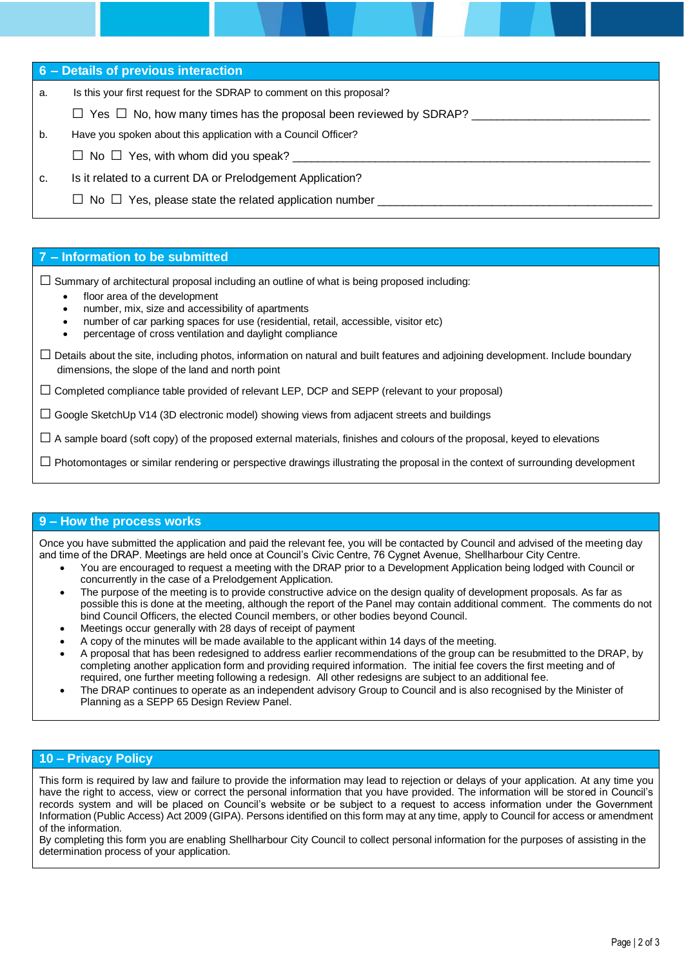**6 – Details of previous interaction**

- a. Is this your first request for the SDRAP to comment on this proposal?
	- $\Box$  Yes  $\Box$  No, how many times has the proposal been reviewed by SDRAP?
- b. Have you spoken about this application with a Council Officer?
	- $\Box$  No  $\Box$  Yes, with whom did you speak?
- c. Is it related to a current DA or Prelodgement Application?
	- $\Box$  No  $\Box$  Yes, please state the related application number

#### **7 – Information to be submitted**

 $\square$  Summary of architectural proposal including an outline of what is being proposed including:

- floor area of the development
- number, mix, size and accessibility of apartments
- number of car parking spaces for use (residential, retail, accessible, visitor etc)
- percentage of cross ventilation and daylight compliance
- $\square$  Details about the site, including photos, information on natural and built features and adjoining development. Include boundary dimensions, the slope of the land and north point

 $\square$  Completed compliance table provided of relevant LEP, DCP and SEPP (relevant to your proposal)

 $\Box$  Google SketchUp V14 (3D electronic model) showing views from adjacent streets and buildings

 $\square$  A sample board (soft copy) of the proposed external materials, finishes and colours of the proposal, keyed to elevations

 $\square$  Photomontages or similar rendering or perspective drawings illustrating the proposal in the context of surrounding development

### **9 – How the process works**

Once you have submitted the application and paid the relevant fee, you will be contacted by Council and advised of the meeting day and time of the DRAP. Meetings are held once at Council's Civic Centre, 76 Cygnet Avenue, Shellharbour City Centre.

- You are encouraged to request a meeting with the DRAP prior to a Development Application being lodged with Council or concurrently in the case of a Prelodgement Application.
- The purpose of the meeting is to provide constructive advice on the design quality of development proposals. As far as possible this is done at the meeting, although the report of the Panel may contain additional comment. The comments do not bind Council Officers, the elected Council members, or other bodies beyond Council.
- Meetings occur generally with 28 days of receipt of payment
- A copy of the minutes will be made available to the applicant within 14 days of the meeting.
- A proposal that has been redesigned to address earlier recommendations of the group can be resubmitted to the DRAP, by completing another application form and providing required information. The initial fee covers the first meeting and of required, one further meeting following a redesign. All other redesigns are subject to an additional fee.
- The DRAP continues to operate as an independent advisory Group to Council and is also recognised by the Minister of Planning as a SEPP 65 Design Review Panel.

### **10 – Privacy Policy**

This form is required by law and failure to provide the information may lead to rejection or delays of your application. At any time you have the right to access, view or correct the personal information that you have provided. The information will be stored in Council's records system and will be placed on Council's website or be subject to a request to access information under the Government Information (Public Access) Act 2009 (GIPA). Persons identified on this form may at any time, apply to Council for access or amendment of the information.

By completing this form you are enabling Shellharbour City Council to collect personal information for the purposes of assisting in the determination process of your application.